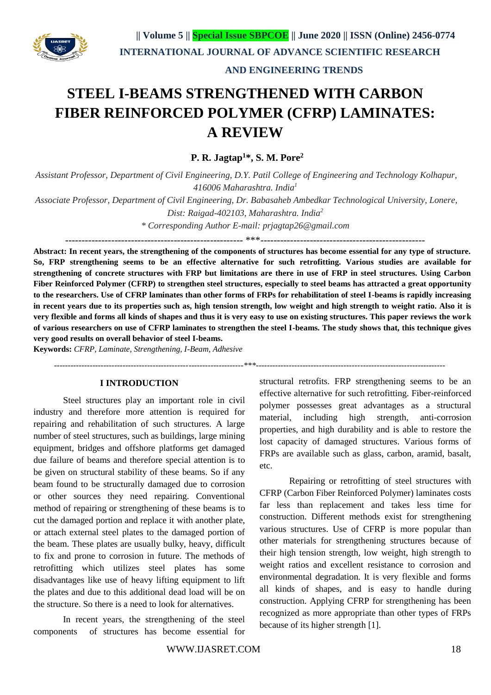

# **AND ENGINEERING TRENDS**

# **STEEL I-BEAMS STRENGTHENED WITH CARBON FIBER REINFORCED POLYMER (CFRP) LAMINATES: A REVIEW**

**P. R. Jagtap<sup>1</sup>\*, S. M. Pore<sup>2</sup>**

*Assistant Professor, Department of Civil Engineering, D.Y. Patil College of Engineering and Technology Kolhapur, 416006 Maharashtra. India<sup>1</sup>*

*Associate Professor, Department of Civil Engineering, Dr. Babasaheb Ambedkar Technological University, Lonere, Dist: Raigad-402103, Maharashtra. India<sup>2</sup>*

*\* Corresponding Author E-mail: [prjagtap26@gmail.com](mailto:prjagtap26@gmail.com)*

------------------------------------------------------ \*\*\*--------------------------------------------------

**Abstract: In recent years, the strengthening of the components of structures has become essential for any type of structure. So, FRP strengthening seems to be an effective alternative for such retrofitting. Various studies are available for strengthening of concrete structures with FRP but limitations are there in use of FRP in steel structures. Using Carbon Fiber Reinforced Polymer (CFRP) to strengthen steel structures, especially to steel beams has attracted a great opportunity to the researchers. Use of CFRP laminates than other forms of FRPs for rehabilitation of steel I-beams is rapidly increasing in recent years due to its properties such as, high tension strength, low weight and high strength to weight ratio. Also it is very flexible and forms all kinds of shapes and thus it is very easy to use on existing structures. This paper reviews the work of various researchers on use of CFRP laminates to strengthen the steel I-beams. The study shows that, this technique gives very good results on overall behavior of steel I-beams.**

 *---------------------------------------------------------------------\*\*\*---------------------------------------------------------------------*

**Keywords:** *CFRP, Laminate, Strengthening, I-Beam, Adhesive*

## **I INTRODUCTION**

Steel structures play an important role in civil industry and therefore more attention is required for repairing and rehabilitation of such structures. A large number of steel structures, such as buildings, large mining equipment, bridges and offshore platforms get damaged due failure of beams and therefore special attention is to be given on structural stability of these beams. So if any beam found to be structurally damaged due to corrosion or other sources they need repairing. Conventional method of repairing or strengthening of these beams is to cut the damaged portion and replace it with another plate, or attach external steel plates to the damaged portion of the beam. These plates are usually bulky, heavy, difficult to fix and prone to corrosion in future. The methods of retrofitting which utilizes steel plates has some disadvantages like use of heavy lifting equipment to lift the plates and due to this additional dead load will be on the structure. So there is a need to look for alternatives.

In recent years, the strengthening of the steel components of structures has become essential for structural retrofits. FRP strengthening seems to be an effective alternative for such retrofitting. Fiber-reinforced polymer possesses great advantages as a structural material, including high strength, anti-corrosion properties, and high durability and is able to restore the lost capacity of damaged structures. Various forms of FRPs are available such as glass, carbon, aramid, basalt, etc.

Repairing or retrofitting of steel structures with CFRP (Carbon Fiber Reinforced Polymer) laminates costs far less than replacement and takes less time for construction. Different methods exist for strengthening various structures. Use of CFRP is more popular than other materials for strengthening structures because of their high tension strength, low weight, high strength to weight ratios and excellent resistance to corrosion and environmental degradation. It is very flexible and forms all kinds of shapes, and is easy to handle during construction. Applying CFRP for strengthening has been recognized as more appropriate than other types of FRPs because of its higher strength [1].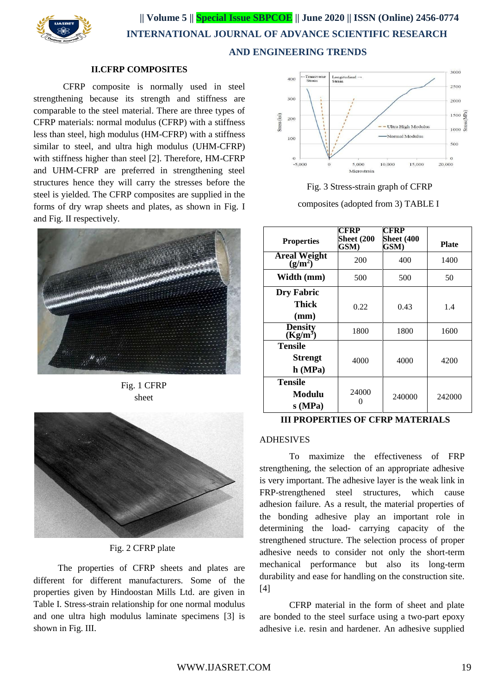

 **|| Volume 5 || Special Issue SBPCOE || June 2020 || ISSN (Online) 2456-0774 INTERNATIONAL JOURNAL OF ADVANCE SCIENTIFIC RESEARCH AND ENGINEERING TRENDS**

#### **II.CFRP COMPOSITES**

CFRP composite is normally used in steel strengthening because its strength and stiffness are comparable to the steel material. There are three types of CFRP materials: normal modulus (CFRP) with a stiffness less than steel, high modulus (HM-CFRP) with a stiffness similar to steel, and ultra high modulus (UHM-CFRP) with stiffness higher than steel [2]. Therefore, HM-CFRP and UHM-CFRP are preferred in strengthening steel structures hence they will carry the stresses before the steel is yielded. The CFRP composites are supplied in the forms of dry wrap sheets and plates, as shown in Fig. I and Fig. II respectively.



Fig. 1 CFRP sheet



Fig. 2 CFRP plate

The properties of CFRP sheets and plates are different for different manufacturers. Some of the properties given by Hindoostan Mills Ltd. are given in Table I. Stress-strain relationship for one normal modulus and one ultra high modulus laminate specimens [3] is shown in Fig. III.



Fig. 3 Stress-strain graph of CFRP composites (adopted from 3) TABLE I

| <b>Properties</b>                | CFRP<br><b>Sheet (200</b><br>GSM) | CFRP<br><b>Sheet (400</b><br>GSM) | <b>Plate</b> |
|----------------------------------|-----------------------------------|-----------------------------------|--------------|
| <b>Areal Weight</b><br>$(g/m^2)$ | 200                               | 400                               | 1400         |
| Width (mm)                       | 500                               | 500                               | 50           |
| <b>Dry Fabric</b>                |                                   |                                   |              |
| Thick                            | 0.22                              | 0.43                              | 1.4          |
| (mm)                             |                                   |                                   |              |
| <b>Density</b><br>$(Kg/m^3)$     | 1800                              | 1800                              | 1600         |
| <b>Tensile</b>                   |                                   |                                   |              |
| <b>Strengt</b>                   | 4000                              | 4000                              | 4200         |
| h(MPa)                           |                                   |                                   |              |
| Tensile                          |                                   |                                   |              |
| Modulu                           | 24000                             | 240000                            | 242000       |
| s (MPa)                          |                                   |                                   |              |

## **III PROPERTIES OF CFRP MATERIALS**

## ADHESIVES

To maximize the effectiveness of FRP strengthening, the selection of an appropriate adhesive is very important. The adhesive layer is the weak link in FRP-strengthened steel structures, which cause adhesion failure. As a result, the material properties of the bonding adhesive play an important role in determining the load- carrying capacity of the strengthened structure. The selection process of proper adhesive needs to consider not only the short-term mechanical performance but also its long-term durability and ease for handling on the construction site. [4]

CFRP material in the form of sheet and plate are bonded to the steel surface using a two-part epoxy adhesive i.e. resin and hardener. An adhesive supplied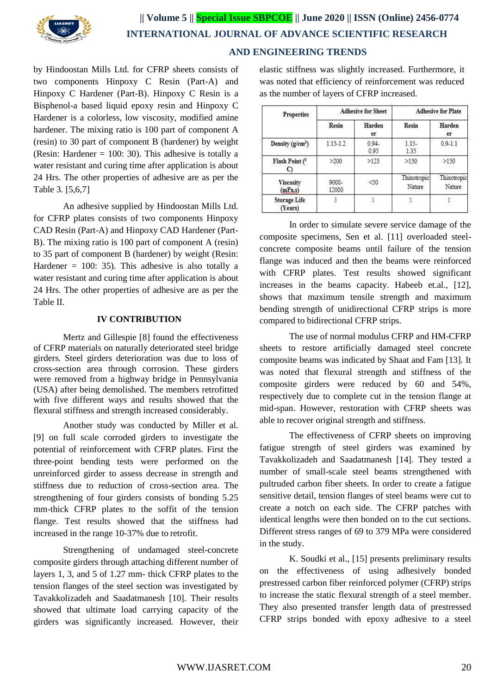

 **|| Volume 5 || Special Issue SBPCOE || June 2020 || ISSN (Online) 2456-0774 INTERNATIONAL JOURNAL OF ADVANCE SCIENTIFIC RESEARCH** 

# **AND ENGINEERING TRENDS**

by Hindoostan Mills Ltd. for CFRP sheets consists of two components Hinpoxy C Resin (Part-A) and Hinpoxy C Hardener (Part-B). Hinpoxy C Resin is a Bisphenol-a based liquid epoxy resin and Hinpoxy C Hardener is a colorless, low viscosity, modified amine hardener. The mixing ratio is 100 part of component A (resin) to 30 part of component B (hardener) by weight (Resin: Hardener =  $100: 30$ ). This adhesive is totally a water resistant and curing time after application is about 24 Hrs. The other properties of adhesive are as per the Table 3. [5,6,7]

An adhesive supplied by Hindoostan Mills Ltd. for CFRP plates consists of two components Hinpoxy CAD Resin (Part-A) and Hinpoxy CAD Hardener (Part-B). The mixing ratio is 100 part of component A (resin) to 35 part of component B (hardener) by weight (Resin: Hardener  $= 100$ : 35). This adhesive is also totally a water resistant and curing time after application is about 24 Hrs. The other properties of adhesive are as per the Table II.

#### **IV CONTRIBUTION**

Mertz and Gillespie [8] found the effectiveness of CFRP materials on naturally deteriorated steel bridge girders. Steel girders deterioration was due to loss of cross-section area through corrosion. These girders were removed from a highway bridge in Pennsylvania (USA) after being demolished. The members retrofitted with five different ways and results showed that the flexural stiffness and strength increased considerably.

Another study was conducted by Miller et al. [9] on full scale corroded girders to investigate the potential of reinforcement with CFRP plates. First the three-point bending tests were performed on the unreinforced girder to assess decrease in strength and stiffness due to reduction of cross-section area. The strengthening of four girders consists of bonding 5.25 mm-thick CFRP plates to the soffit of the tension flange. Test results showed that the stiffness had increased in the range 10-37% due to retrofit.

Strengthening of undamaged steel-concrete composite girders through attaching different number of layers 1, 3, and 5 of 1.27 mm- thick CFRP plates to the tension flanges of the steel section was investigated by Tavakkolizadeh and Saadatmanesh [10]. Their results showed that ultimate load carrying capacity of the girders was significantly increased. However, their elastic stiffness was slightly increased. Furthermore, it was noted that efficiency of reinforcement was reduced as the number of layers of CFRP increased.

| <b>Properties</b>              | <b>Adhesive for Sheet</b> |                  | <b>Adhesive for Plate</b> |                       |
|--------------------------------|---------------------------|------------------|---------------------------|-----------------------|
|                                | Resin                     | Harden<br>er     | Resin                     | Harden<br>er          |
| Density $(g/cm^3)$             | $1.15 - 1.2$              | $0.94 -$<br>0.95 | $1.15-$<br>1.35           | $0.9 - 1.1$           |
| Flash Point (                  | >200                      | >123             | >150                      | >150                  |
| <b>Viscosity</b><br>(mPa.s)    | 9000-<br>12000            | $<$ 50           | Thixotropic<br>Nature     | Thixotropic<br>Nature |
| <b>Storage Life</b><br>(Years) |                           |                  |                           |                       |

In order to simulate severe service damage of the composite specimens, Sen et al. [11] overloaded steelconcrete composite beams until failure of the tension flange was induced and then the beams were reinforced with CFRP plates. Test results showed significant increases in the beams capacity. Habeeb et.al., [12], shows that maximum tensile strength and maximum bending strength of unidirectional CFRP strips is more compared to bidirectional CFRP strips.

The use of normal modulus CFRP and HM-CFRP sheets to restore artificially damaged steel concrete composite beams was indicated by Shaat and Fam [13]. It was noted that flexural strength and stiffness of the composite girders were reduced by 60 and 54%, respectively due to complete cut in the tension flange at mid-span. However, restoration with CFRP sheets was able to recover original strength and stiffness.

The effectiveness of CFRP sheets on improving fatigue strength of steel girders was examined by Tavakkolizadeh and Saadatmanesh [14]. They tested a number of small-scale steel beams strengthened with pultruded carbon fiber sheets. In order to create a fatigue sensitive detail, tension flanges of steel beams were cut to create a notch on each side. The CFRP patches with identical lengths were then bonded on to the cut sections. Different stress ranges of 69 to 379 MPa were considered in the study.

K. Soudki et al., [15] presents preliminary results on the effectiveness of using adhesively bonded prestressed carbon fiber reinforced polymer (CFRP) strips to increase the static flexural strength of a steel member. They also presented transfer length data of prestressed CFRP strips bonded with epoxy adhesive to a steel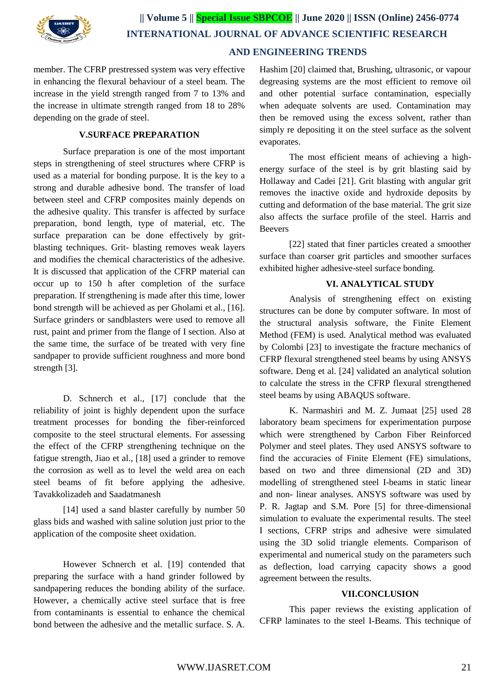

member. The CFRP prestressed system was very effective in enhancing the flexural behaviour of a steel beam. The increase in the yield strength ranged from 7 to 13% and the increase in ultimate strength ranged from 18 to 28% depending on the grade of steel.

## **V.SURFACE PREPARATION**

Surface preparation is one of the most important steps in strengthening of steel structures where CFRP is used as a material for bonding purpose. It is the key to a strong and durable adhesive bond. The transfer of load between steel and CFRP composites mainly depends on the adhesive quality. This transfer is affected by surface preparation, bond length, type of material, etc. The surface preparation can be done effectively by gritblasting techniques. Grit- blasting removes weak layers and modifies the chemical characteristics of the adhesive. It is discussed that application of the CFRP material can occur up to 150 h after completion of the surface preparation. If strengthening is made after this time, lower bond strength will be achieved as per Gholami et al., [16]. Surface grinders or sandblasters were used to remove all rust, paint and primer from the flange of I section. Also at the same time, the surface of be treated with very fine sandpaper to provide sufficient roughness and more bond strength [3].

D. Schnerch et al., [17] conclude that the reliability of joint is highly dependent upon the surface treatment processes for bonding the fiber-reinforced composite to the steel structural elements. For assessing the effect of the CFRP strengthening technique on the fatigue strength, Jiao et al., [18] used a grinder to remove the corrosion as well as to level the weld area on each steel beams of fit before applying the adhesive. Tavakkolizadeh and Saadatmanesh

[14] used a sand blaster carefully by number 50 glass bids and washed with saline solution just prior to the application of the composite sheet oxidation.

However Schnerch et al. [19] contended that preparing the surface with a hand grinder followed by sandpapering reduces the bonding ability of the surface. However, a chemically active steel surface that is free from contaminants is essential to enhance the chemical bond between the adhesive and the metallic surface. S. A.

Hashim [20] claimed that, Brushing, ultrasonic, or vapour degreasing systems are the most efficient to remove oil and other potential surface contamination, especially when adequate solvents are used. Contamination may then be removed using the excess solvent, rather than simply re depositing it on the steel surface as the solvent evaporates.

The most efficient means of achieving a highenergy surface of the steel is by grit blasting said by Hollaway and Cadei [21]. Grit blasting with angular grit removes the inactive oxide and hydroxide deposits by cutting and deformation of the base material. The grit size also affects the surface profile of the steel. Harris and Beevers

[22] stated that finer particles created a smoother surface than coarser grit particles and smoother surfaces exhibited higher adhesive-steel surface bonding.

#### **VI. ANALYTICAL STUDY**

Analysis of strengthening effect on existing structures can be done by computer software. In most of the structural analysis software, the Finite Element Method (FEM) is used. Analytical method was evaluated by Colombi [23] to investigate the fracture mechanics of CFRP flexural strengthened steel beams by using ANSYS software. Deng et al. [24] validated an analytical solution to calculate the stress in the CFRP flexural strengthened steel beams by using ABAQUS software.

K. Narmashiri and M. Z. Jumaat [25] used 28 laboratory beam specimens for experimentation purpose which were strengthened by Carbon Fiber Reinforced Polymer and steel plates. They used ANSYS software to find the accuracies of Finite Element (FE) simulations, based on two and three dimensional (2D and 3D) modelling of strengthened steel I-beams in static linear and non- linear analyses. ANSYS software was used by P. R. Jagtap and S.M. Pore [5] for three-dimensional simulation to evaluate the experimental results. The steel I sections, CFRP strips and adhesive were simulated using the 3D solid triangle elements. Comparison of experimental and numerical study on the parameters such as deflection, load carrying capacity shows a good agreement between the results.

## **VII.CONCLUSION**

This paper reviews the existing application of CFRP laminates to the steel I-Beams. This technique of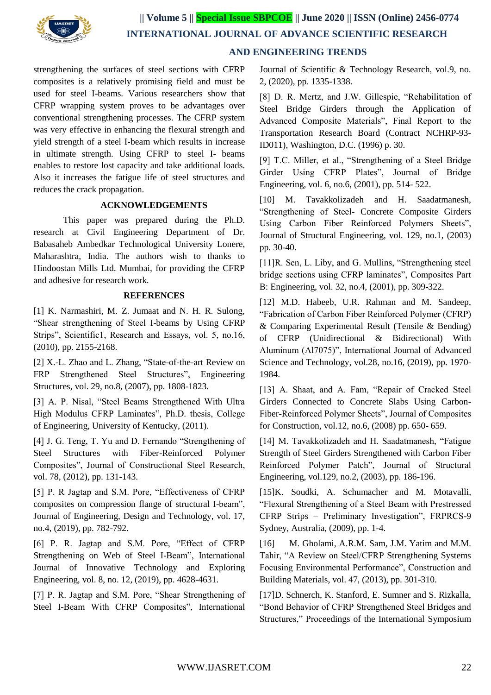

 **INTERNATIONAL JOURNAL OF ADVANCE SCIENTIFIC RESEARCH** 

# **AND ENGINEERING TRENDS**

strengthening the surfaces of steel sections with CFRP composites is a relatively promising field and must be used for steel I-beams. Various researchers show that CFRP wrapping system proves to be advantages over conventional strengthening processes. The CFRP system was very effective in enhancing the flexural strength and yield strength of a steel I-beam which results in increase in ultimate strength. Using CFRP to steel I- beams enables to restore lost capacity and take additional loads. Also it increases the fatigue life of steel structures and reduces the crack propagation.

## **ACKNOWLEDGEMENTS**

This paper was prepared during the Ph.D. research at Civil Engineering Department of Dr. Babasaheb Ambedkar Technological University Lonere, Maharashtra, India. The authors wish to thanks to Hindoostan Mills Ltd. Mumbai, for providing the CFRP and adhesive for research work.

#### **REFERENCES**

[1] K. Narmashiri, M. Z. Jumaat and N. H. R. Sulong, "Shear strengthening of Steel I-beams by Using CFRP Strips", Scientific1, Research and Essays, vol. 5, no.16, (2010), pp. 2155-2168.

[2] X.-L. Zhao and L. Zhang, "State-of-the-art Review on FRP Strengthened Steel Structures", Engineering Structures, vol. 29, no.8, (2007), pp. 1808-1823.

[3] A. P. Nisal, "Steel Beams Strengthened With Ultra High Modulus CFRP Laminates", Ph.D. thesis, College of Engineering, University of Kentucky, (2011).

[4] J. G. Teng, T. Yu and D. Fernando "Strengthening of Steel Structures with Fiber-Reinforced Polymer Composites", Journal of Constructional Steel Research, vol. 78, (2012), pp. 131-143.

[5] P. R Jagtap and S.M. Pore, "Effectiveness of CFRP composites on compression flange of structural I-beam", Journal of Engineering, Design and Technology, vol. 17, no.4, (2019), pp. 782-792.

[6] P. R. Jagtap and S.M. Pore, "Effect of CFRP Strengthening on Web of Steel I-Beam", International Journal of Innovative Technology and Exploring Engineering, vol. 8, no. 12, (2019), pp. 4628-4631.

[7] P. R. Jagtap and S.M. Pore, "Shear Strengthening of Steel I-Beam With CFRP Composites", International Journal of Scientific & Technology Research, vol.9, no. 2, (2020), pp. 1335-1338.

[8] D. R. Mertz, and J.W. Gillespie, "Rehabilitation of Steel Bridge Girders through the Application of Advanced Composite Materials", Final Report to the Transportation Research Board (Contract NCHRP-93- ID011), Washington, D.C. (1996) p. 30.

[9] T.C. Miller, et al., "Strengthening of a Steel Bridge Girder Using CFRP Plates", Journal of Bridge Engineering, vol. 6, no.6, (2001), pp. 514- 522.

[10] M. Tavakkolizadeh and H. Saadatmanesh, "Strengthening of Steel- Concrete Composite Girders Using Carbon Fiber Reinforced Polymers Sheets", Journal of Structural Engineering, vol. 129, no.1, (2003) pp. 30-40.

[11]R. Sen, L. Liby, and G. Mullins, "Strengthening steel bridge sections using CFRP laminates", Composites Part B: Engineering, vol. 32, no.4, (2001), pp. 309-322.

[12] M.D. Habeeb, U.R. Rahman and M. Sandeep, "Fabrication of Carbon Fiber Reinforced Polymer (CFRP) & Comparing Experimental Result (Tensile & Bending) of CFRP (Unidirectional & Bidirectional) With Aluminum (Al7075)", International Journal of Advanced Science and Technology, vol.28, no.16, (2019), pp. 1970- 1984.

[13] A. Shaat, and A. Fam, "Repair of Cracked Steel Girders Connected to Concrete Slabs Using Carbon-Fiber-Reinforced Polymer Sheets", Journal of Composites for Construction, vol.12, no.6, (2008) pp. 650- 659.

[14] M. Tavakkolizadeh and H. Saadatmanesh, "Fatigue Strength of Steel Girders Strengthened with Carbon Fiber Reinforced Polymer Patch", Journal of Structural Engineering, vol.129, no.2, (2003), pp. 186-196.

[15]K. Soudki, A. Schumacher and M. Motavalli, "Flexural Strengthening of a Steel Beam with Prestressed CFRP Strips – Preliminary Investigation", FRPRCS-9 Sydney, Australia, (2009), pp. 1-4.

[16] M. Gholami, A.R.M. Sam, J.M. Yatim and M.M. Tahir, "A Review on Steel/CFRP Strengthening Systems Focusing Environmental Performance", Construction and Building Materials, vol. 47, (2013), pp. 301-310.

[17]D. Schnerch, K. Stanford, E. Sumner and S. Rizkalla, "Bond Behavior of CFRP Strengthened Steel Bridges and Structures," Proceedings of the International Symposium